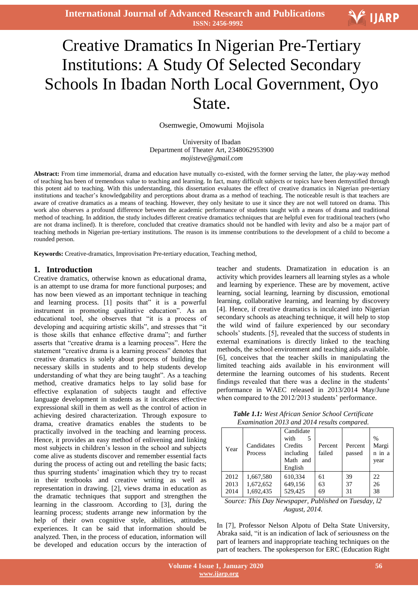# Ξ Creative Dramatics In Nigerian Pre-Tertiary Institutions: A Study Of Selected Secondary Schools In Ibadan North Local Government, Oyo State.

Osemwegie, Omowumi Mojisola

University of Ibadan Department of Theater Art, 2348062953900 *mojisteve@gmail.com*

**Abstract:** From time immemorial, drama and education have mutually co-existed, with the former serving the latter, the play-way method of teaching has been of tremendous value to teaching and learning. In fact, many difficult subjects or topics have been demystified through this potent aid to teaching. With this understanding, this dissertation evaluates the effect of creative dramatics in Nigerian pre-tertiary institutions and teacher's knowledgability and perceptions about drama as a method of teaching. The noticeable result is that teachers are aware of creative dramatics as a means of teaching. However, they only hesitate to use it since they are not well tutored on drama. This work also observes a profound difference between the academic performance of students taught with a means of drama and traditional method of teaching. In addition, the study includes different creative dramatics techniques that are helpful even for traditional teachers (who are not drama inclined). It is therefore, concluded that creative dramatics should not be handled with levity and also be a major part of teaching methods in Nigerian pre-tertiary institutions. The reason is its immense contributions to the development of a child to become a rounded person.

**Keywords:** Creative-dramatics, Improvisation Pre-tertiary education, Teaching method,

#### **1. Introduction**

Creative dramatics, otherwise known as educational drama, is an attempt to use drama for more functional purposes; and has now been viewed as an important technique in teaching and learning process. [1] posits that" it is a powerful instrument in promoting qualitative education". As an educational tool, she observes that "it is a process of developing and acquiring artistic skills", and stresses that "it is those skills that enhance effective drama"; and further asserts that "creative drama is a learning process". Here the statement "creative drama is a learning process" denotes that creative dramatics is solely about process of building the necessary skills in students and to help students develop understanding of what they are being taught". As a teaching method, creative dramatics helps to lay solid base for effective explanation of subjects taught and effective language development in students as it inculcates effective expressional skill in them as well as the control of action in achieving desired characterization. Through exposure to drama, creative dramatics enables the students to be practically involved in the teaching and learning process. Hence, it provides an easy method of enlivening and linking most subjects in children's lesson in the school and subjects come alive as students discover and remember essential facts during the process of acting out and retelling the basic facts; thus spurring students' imagination which they try to recast in their textbooks and creative writing as well as representation in drawing. [2], views drama in education as the dramatic techniques that support and strengthen the learning in the classroom. According to [3], during the learning process; students arrange new information by the help of their own cognitive style, abilities, attitudes, experiences. It can be said that information should be analyzed. Then, in the process of education, information will be developed and education occurs by the interaction of

teacher and students. Dramatization in education is an activity which provides learners all learning styles as a whole and learning by experience. These are by movement, active learning, social learning, learning by discussion, emotional learning, collaborative learning, and learning by discovery [4]. Hence, if creative dramatics is inculcated into Nigerian secondary schools as ateaching technique, it will help to stop the wild wind of failure experienced by our secondary schools' students. [5], revealed that the success of students in external examinations is directly linked to the teaching methods, the school environment and teaching aids available. [6], conceives that the teacher skills in manipulating the limited teaching aids available in his environment will determine the learning outcomes of his students. Recent findings revealed that there was a decline in the students' performance in WAEC released in 2013/2014 May/June when compared to the 2012/2013 students' performance.

*Table 1.1: West African Senior School Certificate Examination 2013 and 2014 results compared.*

| Year | Candidates<br>Process | Candidate<br>with<br>5<br>Credits<br>including<br>Math and<br>English | Percent<br>failed | Percent<br>passed | $\%$<br>Margi<br>n in a<br>year |
|------|-----------------------|-----------------------------------------------------------------------|-------------------|-------------------|---------------------------------|
| 2012 | 1,667,580             | 610,334                                                               | 61                | 39                | 22                              |
| 2013 | 1,672,652             | 649,156                                                               | 63                | 37                | 26                              |
| 2014 | 1,692,435             | 529,425                                                               | 69                | 31                | 38                              |

*Source: This Day Newspaper, Published on Tuesday, l2 August, 2014.*

In [7], Professor Nelson Alpotu of Delta State University, Abraka said, "it is an indication of lack of seriousness on the part of learners and inappropriate teaching techniques on the part of teachers. The spokesperson for ERC (Education Right

V IJARP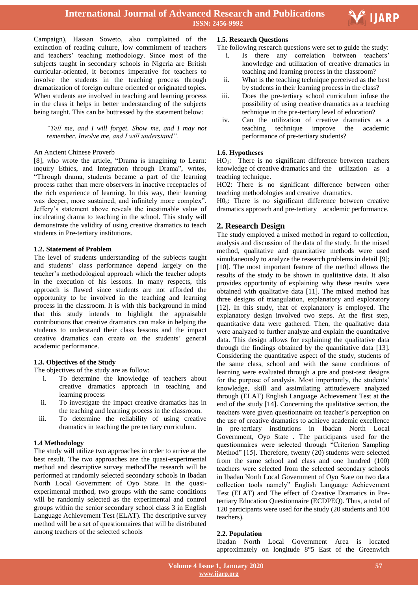

Ξ

Campaign), Hassan Soweto, also complained of the extinction of reading culture, low commitment of teachers and teachers' teaching methodology. Since most of the subjects taught in secondary schools in Nigeria are British curricular-oriented, it becomes imperative for teachers to involve the students in the teaching process through dramatization of foreign culture oriented or originated topics. When students are involved in teaching and learning process in the class it helps in better understanding of the subjects being taught. This can be buttressed by the statement below:

*"Tell me, and I will forget. Show me, and I may not remember. Involve me, and I will understand".*

## An Ancient Chinese Proverb

[8], who wrote the article, "Drama is imagining to Learn: inquiry Ethics, and Integration through Drama", writes, "Through drama, students became a part of the learning process rather than mere observers in inactive receptacles of the rich experience of learning. In this way, their learning was deeper, more sustained, and infinitely more complex". Jeffery's statement above reveals the inestimable value of inculcating drama to teaching in the school. This study will demonstrate the validity of using creative dramatics to teach students in Pre-tertiary institutions.

## **1.2. Statement of Problem**

The level of students understanding of the subjects taught and students' class performance depend largely on the teacher's methodological approach which the teacher adopts in the execution of his lessons. In many respects, this approach is flawed since students are not afforded the opportunity to be involved in the teaching and learning process in the classroom. It is with this background in mind that this study intends to highlight the appraisable contributions that creative dramatics can make in helping the students to understand their class lessons and the impact creative dramatics can create on the students' general academic performance.

#### **1.3. Objectives of the Study**

The objectives of the study are as follow:

- i. To determine the knowledge of teachers about creative dramatics approach in teaching and learning process
- ii. To investigate the impact creative dramatics has in the teaching and learning process in the classroom.
- iii. To determine the reliability of using creative dramatics in teaching the pre tertiary curriculum.

# **1.4 Methodology**

The study will utilize two approaches in order to arrive at the best result. The two approaches are the quasi-experimental method and descriptive survey methodThe research will be performed at randomly selected secondary schools in Ibadan North Local Government of Oyo State. In the quasiexperimental method, two groups with the same conditions will be randomly selected as the experimental and control groups within the senior secondary school class 3 in English Language Achievement Test (ELAT). The descriptive survey method will be a set of questionnaires that will be distributed among teachers of the selected schools

## **1.5. Research Questions**

The following research questions were set to guide the study:

- i. Is there any correlation between teachers' knowledge and utilization of creative dramatics in teaching and learning process in the classroom?
- ii. What is the teaching technique perceived as the best by students in their learning process in the class?
- iii. Does the pre-tertiary school curriculum infuse the possibility of using creative dramatics as a teaching technique in the pre-tertiary level of education?
- iv. Can the utilization of creative dramatics as a teaching technique improve the academic performance of pre-tertiary students?

# **1.6. Hypotheses**

 $HO_1$ : There is no significant difference between teachers knowledge of creative dramatics and the utilization as a teaching technique.

HO2: There is no significant difference between other teaching methodologies and creative dramatics.

 $H0<sub>3</sub>$ : There is no significant difference between creative dramatics approach and pre-tertiary academic performance.

# **2. Research Design**

The study employed a mixed method in regard to collection, analysis and discussion of the data of the study. In the mixed method, qualitative and quantitative methods were used simultaneously to analyze the research problems in detail [9]; [10]. The most important feature of the method allows the results of the study to be shown in qualitative data. It also provides opportunity of explaining why these results were obtained with qualitative data [11]. The mixed method has three designs of triangulation, explanatory and exploratory [12]. In this study, that of explanatory is employed. The explanatory design involved two steps. At the first step, quantitative data were gathered. Then, the qualitative data were analyzed to further analyze and explain the quantitative data. This design allows for explaining the qualitative data through the findings obtained by the quantitative data [13]. Considering the quantitative aspect of the study, students of the same class, school and with the same conditions of learning were evaluated through a pre and post-test designs for the purpose of analysis. Most importantly, the students' knowledge, skill and assimilating attitudewere analyzed through (ELAT) English Language Achievement Test at the end of the study [14]. Concerning the qualitative section, the teachers were given questionnaire on teacher's perception on the use of creative dramatics to achieve academic excellence in pre-tertiary institutions in Ibadan North Local Government, Oyo State . The participants used for the questionnaires were selected through "Criterion Sampling Method" [15]. Therefore, twenty (20) students were selected from the same school and class and one hundred (100) teachers were selected from the selected secondary schools in Ibadan North Local Government of Oyo State on two data collection tools namely" English Language Achievement Test (ELAT) and The effect of Creative Dramatics in Pretertiary Education Questionnaire (ECDPEQ). Thus, a total of 120 participants were used for the study (20 students and 100 teachers).

#### **2.2. Population**

Ibadan North Local Government Area is located approximately on longitude 8°5 East of the Greenwich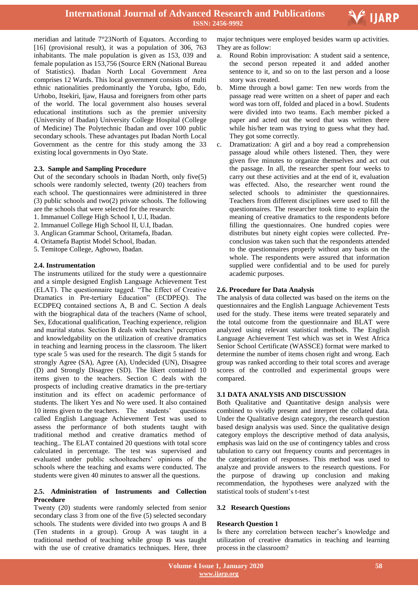

meridian and latitude 7°23North of Equators. According to [16] (provisional result), it was a population of 306, 763 inhabitants. The male population is given as 153, 039 and female population as 153,756 (Source ERN (National Bureau of Statistics). Ibadan North Local Government Area comprises 12 Wards. This local government consists of multi ethnic nationalities predominantly the Yoruba, Igbo, Edo, Urhobo, Itsekiri, Ijaw, Hausa and foreigners from other parts of the world. The local government also houses several educational institutions such as the premier university (University of Ibadan) University College Hospital (College of Medicine) The Polytechnic Ibadan and over 100 public secondary schools. These advantages put Ibadan North Local Government as the centre for this study among the 33 existing local governments in Oyo State.

## **2.3. Sample and Sampling Procedure**

Out of the secondary schools in Ibadan North, only five(5) schools were randomly selected, twenty (20) teachers from each school. The questionnaires were administered in three (3) public schools and two(2) private schools. The following are the schools that were selected for the research:

- 1. Immanuel College High School I, U.I, Ibadan.
- 2. Immanuel College High School II, U.I, Ibadan.
- 3. Anglican Grammar School, Oritamefa, Ibadan.
- 4. Oritamefa Baptist Model School, Ibadan.
- 5. Temitope College, Agbowo, Ibadan.

## **2.4. Instrumentation**

The instruments utilized for the study were a questionnaire and a simple designed English Language Achievement Test (ELAT). The questionnaire tagged. "The Effect of Creative Dramatics in Pre-tertiary Education" (ECDPEQ). The ECDPEQ contained sections A, B and C. Section A deals with the biographical data of the teachers (Name of school, Sex, Educational qualification, Teaching experience, religion and marital status. Section B deals with teachers' perception and knowledgability on the utilization of creative dramatics in teaching and learning process in the classroom. The likert type scale 5 was used for the research. The digit 5 stands for strongly Agree (SA), Agree (A), Undecided (UN), Disagree (D) and Strongly Disagree (SD). The likert contained 10 items given to the teachers. Section C deals with the prospects of including creative dramatics in the pre-tertiary institution and its effect on academic performance of students. The likert Yes and No were used. It also contained 10 items given to the teachers. The students' questions called English Language Achievement Test was used to assess the performance of both students taught with traditional method and creative dramatics method of teaching.. The ELAT contained 20 questions with total score calculated in percentage. The test was supervised and evaluated under public schoolteachers' opinions of the schools where the teaching and exams were conducted. The students were given 40 minutes to answer all the questions.

### **2.5. Administration of Instruments and Collection Procedure**

Twenty (20) students were randomly selected from senior secondary class 3 from one of the five (5) selected secondary schools. The students were divided into two groups A and B (Ten students in a group). Group A was taught in a traditional method of teaching while group B was taught with the use of creative dramatics techniques. Here, three  major techniques were employed besides warm up activities. They are as follow:

- a. Round Robin improvisation: A student said a sentence, the second person repeated it and added another sentence to it, and so on to the last person and a loose story was created.
- b. Mime through a bowl game: Ten new words from the passage read were written on a sheet of paper and each word was torn off, folded and placed in a bowl. Students were divided into two teams. Each member picked a paper and acted out the word that was written there while his/her team was trying to guess what they had. They got some correctly.
- c. Dramatization: A girl and a boy read a comprehension passage aloud while others listened. Then, they were given five minutes to organize themselves and act out the passage. In all, the researcher spent four weeks to carry out these activities and at the end of it, evaluation was effected. Also, the researcher went round the selected schools to administer the questionnaires. Teachers from different disciplines were used to fill the questionnaires. The researcher took time to explain the meaning of creative dramatics to the respondents before filling the questionnaires. One hundred copies were distributes but ninety eight copies were collected. Preconclusion was taken such that the respondents attended to the questionnaires properly without any basis on the whole. The respondents were assured that information supplied were confidential and to be used for purely academic purposes.

## **2.6. Procedure for Data Analysis**

The analysis of data collected was based on the items on the questionnaires and the English Language Achievement Tests used for the study. These items were treated separately and the total outcome from the questionnaire and BLAT were analyzed using relevant statistical methods. The English Language Achievement Test which was set in West Africa Senior School Certificate (WASSCE) format were marked to determine the number of items chosen right and wrong. Each group was ranked according to their total scores and average scores of the controlled and experimental groups were compared.

## **3.1 DATA ANALYSIS AND DISCUSSION**

Both Qualitative and Quantitative design analysis were combined to vividly present and interpret the collated data. Under the Qualitative design category, the research question based design analysis was used. Since the qualitative design category employs the descriptive method of data analysis, emphasis was laid on the use of contingency tables and cross tabulation to carry out frequency counts and percentages in the categorization of responses. This method was used to analyze and provide answers to the research questions. For the purpose of drawing up conclusion and making recommendation, the hypotheses were analyzed with the statistical tools of student's t-test

#### **3.2 Research Questions**

#### **Research Question 1**

Is there any correlation between teacher's knowledge and utilization of creative dramatics in teaching and learning process in the classroom?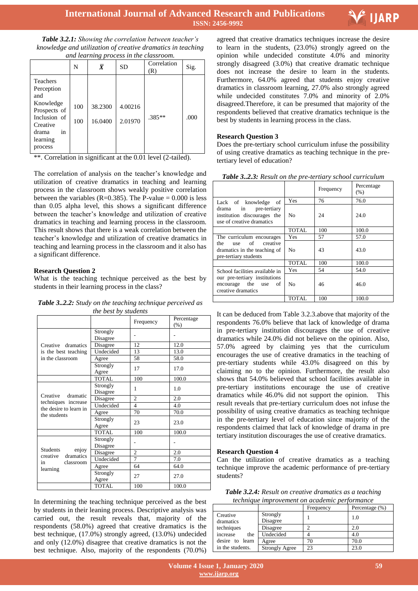

| <b>Table 3.2.1:</b> Showing the correlation between teacher's |
|---------------------------------------------------------------|
| knowledge and utilization of creative dramatics in teaching   |
| and learning process in the classroom.                        |

|                                                                                                                                     | N          | $\overline{X}$     | <b>SD</b>          | Correlation<br>(R) | Sig. |
|-------------------------------------------------------------------------------------------------------------------------------------|------------|--------------------|--------------------|--------------------|------|
| <b>Teachers</b><br>Perception<br>and<br>Knowledge<br>Prospects of<br>Inclusion of<br>Creative<br>drama<br>in<br>learning<br>process | 100<br>100 | 38.2300<br>16.0400 | 4.00216<br>2.01970 | .385**             | .000 |

\*\*. Correlation in significant at the 0.01 level (2-tailed).

The correlation of analysis on the teacher's knowledge and utilization of creative dramatics in teaching and learning process in the classroom shows weakly positive correlation between the variables ( $R=0.385$ ). The P-value = 0.000 is less than 0.05 alpha level, this shows a significant difference between the teacher's knowledge and utilization of creative dramatics in teaching and learning process in the classroom. This result shows that there is a weak correlation between the teacher's knowledge and utilization of creative dramatics in teaching and learning process in the classroom and it also has a significant difference.

## **Research Question 2**

What is the teaching technique perceived as the best by students in their learning process in the class?

*Table 3..2.2: Study on the teaching technique perceived as the best by students*

|                                                   |                      | Frequency                | Percentage |
|---------------------------------------------------|----------------------|--------------------------|------------|
|                                                   |                      |                          | (% )       |
|                                                   | Strongly<br>Disagree |                          |            |
| Creative dramatics                                | Disagree             | 12                       | 12.0       |
| is the best teaching                              | Undecided            | 13                       | 13.0       |
| in the classroom                                  | Agree                | 58                       | 58.0       |
|                                                   | Strongly<br>Agree    | 17                       | 17.0       |
|                                                   | <b>TOTAL</b>         | 100                      | 100.0      |
|                                                   | Strongly<br>Disagree | 1                        | 1.0        |
| Creative dramatic                                 | Disagree             | $\overline{c}$           | 2.0        |
| techniques increase<br>the desire to learn in     | Undecided            | $\overline{\mathcal{L}}$ | 4.0        |
| the students                                      | Agree                | 70                       | 70.0       |
|                                                   | Strongly<br>Agree    | 23                       | 23.0       |
|                                                   | <b>TOTAL</b>         | 100                      | 100.0      |
|                                                   | Strongly<br>Disagree |                          |            |
| <b>Students</b><br>enjoy<br>creative<br>dramatics | Disagree             | $\overline{c}$           | 2.0        |
| classroom<br>in                                   | Undecided            | $\overline{7}$           | 7.0        |
| learning                                          | Agree                | 64                       | 64.0       |
|                                                   | Strongly<br>Agree    | 27                       | 27.0       |
|                                                   | <b>TOTAL</b>         | 100                      | 100.0      |

In determining the teaching technique perceived as the best by students in their leaning process. Descriptive analysis was carried out, the result reveals that, majority of the respondents (58.0%) agreed that creative dramatics is the best technique, (17.0%) strongly agreed, (13.0%) undecided and only (12.0%) disagree that creative dramatics is not the best technique. Also, majority of the respondents (70.0%)

 agreed that creative dramatics techniques increase the desire to learn in the students, (23.0%) strongly agreed on the opinion while undecided constitute 4.0% and minority strongly disagreed (3.0%) that creative dramatic technique does not increase the desire to learn in the students. Furthermore, 64.0% agreed that students enjoy creative dramatics in classroom learning, 27.0% also strongly agreed while undecided constitutes 7.0% and minority of 2.0% disagreed.Therefore, it can be presumed that majority of the respondents believed that creative dramatics technique is the best by students in learning process in the class.

# **Research Question 3**

Does the pre-tertiary school curriculum infuse the possibility of using creative dramatics as teaching technique in the pretertiary level of education?

| <b>Twore only a</b> Resource on the pre-territory sensor can require                  |                | Frequency | Percentage<br>(% ) |
|---------------------------------------------------------------------------------------|----------------|-----------|--------------------|
| Lack of knowledge of                                                                  | Yes            | 76        | 76.0               |
| in pre-tertiary<br>drama<br>institution discourages the<br>use of creative dramatics  | N <sub>0</sub> | 24        | 24.0               |
|                                                                                       | <b>TOTAL</b>   | 100       | 100.0              |
| The curriculum encourages                                                             | Yes            | 57        | 57.0               |
| of<br>creative<br>the<br>use<br>dramatics in the teaching of<br>pre-tertiary students | N <sub>0</sub> | 43        | 43.0               |
|                                                                                       | <b>TOTAL</b>   | 100       | 100.0              |
| School facilities available in                                                        | Yes            | 54        | 54.0               |
| our pre-tertiary institutions<br>encourage the use<br>of<br>creative dramatics        | N <sub>0</sub> | 46        | 46.0               |
|                                                                                       | <b>TOTAL</b>   | 100       | 100.0              |

*Table 3..2.3: Result on the pre-tertiary school curriculum*

It can be deduced from Table 3.2.3.above that majority of the respondents 76.0% believe that lack of knowledge of drama in pre-tertiary institution discourages the use of creative dramatics while 24.0% did not believe on the opinion. Also, 57.0% agreed by claiming yes that the curriculum encourages the use of creative dramatics in the teaching of pre-tertiary students while 43.0% disagreed on this by claiming no to the opinion. Furthermore, the result also shows that 54.0% believed that school facilities available in pre-tertiary institutions encourage the use of creative dramatics while 46.0% did not support the opinion. This result reveals that pre-tertiary curriculum does not infuse the possibility of using creative dramatics as teaching technique in the pre-tertiary level of education since majority of the respondents claimed that lack of knowledge of drama in pre tertiary institution discourages the use of creative dramatics.

## **Research Question 4**

Can the utilization of creative dramatics as a teaching technique improve the academic performance of pre-tertiary students?

| <b>Table 3.2.4:</b> Result on creative dramatics as a teaching |
|----------------------------------------------------------------|
| technique improvement on academic performance                  |

|                       |                       | Frequency | Percentage (%) |  |  |  |  |
|-----------------------|-----------------------|-----------|----------------|--|--|--|--|
| Creative<br>dramatics | Strongly<br>Disagree  |           | 1.0            |  |  |  |  |
| techniques            | Disagree              |           | 2.0            |  |  |  |  |
| increase<br>the       | Undecided             |           | 4.0            |  |  |  |  |
| desire to learn       | Agree                 | 70        | 70.0           |  |  |  |  |
| in the students.      | <b>Strongly Agree</b> | 23        | 23.0           |  |  |  |  |
|                       |                       |           |                |  |  |  |  |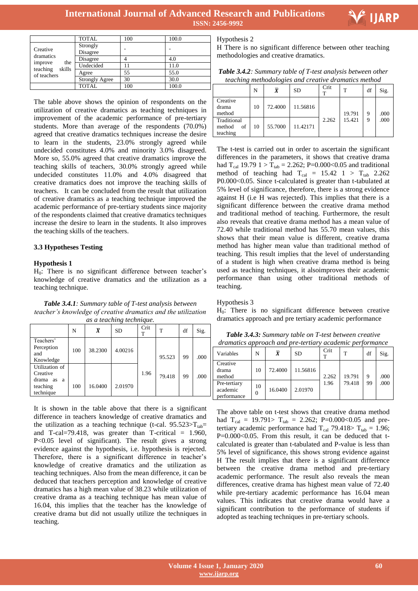

Ξ

|                                                     | <b>TOTAL</b>          | 100 | 100.0 |
|-----------------------------------------------------|-----------------------|-----|-------|
| Creative                                            | Strongly<br>Disagree  |     |       |
| dramatics                                           | Disagree              |     | 4.0   |
| improve<br>the<br>teaching<br>skills<br>of teachers | Undecided             |     | 11.0  |
|                                                     | Agree                 | 55  | 55.0  |
|                                                     | <b>Strongly Agree</b> | 30  | 30.0  |
|                                                     | <b>TOTAL</b>          | 100 | 100.0 |

The table above shows the opinion of respondents on the utilization of creative dramatics as teaching techniques in improvement of the academic performance of pre-tertiary students. More than average of the respondents (70.0%) agreed that creative dramatics techniques increase the desire to learn in the students, 23.0% strongly agreed while undecided constitutes 4.0% and minority 3.0% disagreed. More so, 55.0% agreed that creative dramatics improve the teaching skills of teachers, 30.0% strongly agreed while undecided constitutes 11.0% and 4.0% disagreed that creative dramatics does not improve the teaching skills of teachers. It can be concluded from the result that utilization of creative dramatics as a teaching technique improved the academic performance of pre-tertiary students since majority of the respondents claimed that creative dramatics techniques increase the desire to learn in the students. It also improves the teaching skills of the teachers.

## **3.3 Hypotheses Testing**

## **Hypothesis 1**

 $H<sub>0</sub>$ : There is no significant difference between teacher's knowledge of creative dramatics and the utilization as a teaching technique.

*Table 3.4.1: Summary table of T-test analysis between teacher's knowledge of creative dramatics and the utilization as a teaching technique.*

|                                                                      | N   | $\overline{\pmb{X}}$ | <b>SD</b> | Crit<br>T | т      | df | Sig. |
|----------------------------------------------------------------------|-----|----------------------|-----------|-----------|--------|----|------|
| Teachers'<br>Perception<br>and<br>Knowledge                          | 100 | 38.2300              | 4.00216   |           | 95.523 | 99 | .000 |
| Utilization of<br>Creative<br>drama as<br>a<br>teaching<br>technique | 100 | 16.0400              | 2.01970   | 1.96      | 79.418 | 99 | .000 |

It is shown in the table above that there is a significant difference in teachers knowledge of creative dramatics and the utilization as a teaching technique (t-cal.  $95.523>T_{tab}$ = and T-cal=79.418, was greater than T-critical  $= 1.960$ , P<0.05 level of significant). The result gives a strong evidence against the hypothesis, i.e. hypothesis is rejected. Therefore, there is a significant difference in teacher's knowledge of creative dramatics and the utilization as teaching techniques. Also from the mean difference, it can be deduced that teachers perception and knowledge of creative dramatics has a high mean value of 38.23 while utilization of creative drama as a teaching technique has mean value of 16.04, this implies that the teacher has the knowledge of creative drama but did not usually utilize the techniques in teaching.

Hypothesis 2

H There is no significant difference between other teaching methodologies and creative dramatics.

| <b>Table 3.4.2</b> : Summary table of T-test analysis between other |  |
|---------------------------------------------------------------------|--|
| teaching methodologies and creative dramatics method                |  |

|                                         | N  | $\overline{\bm{X}}$ | <b>SD</b> | Crit  | т      | df | Sig. |
|-----------------------------------------|----|---------------------|-----------|-------|--------|----|------|
| Creative<br>drama<br>method             | 10 | 72.4000             | 11.56816  |       | 19.791 | 9  | .000 |
| Traditional<br>of<br>method<br>teaching | 10 | 55.7000             | 11.42171  | 2.262 | 15.421 | 9  | .000 |

The t-test is carried out in order to ascertain the significant differences in the parameters, it shows that creative drama had  $T_{cal}$  19.79 1 >  $T_{tab}$  = 2.262; P=0.000<0.05 and traditional method of teaching had  $T_{cal}$  = 15.42 1 >  $T_{tab}$  2.262 P0.000<0.05. Since t-calculated is greater than t-tabulated at 5% level of significance, therefore, there is a strong evidence against H (i.e H was rejected). This implies that there is a significant difference between the creative drama method and traditional method of teaching. Furthermore, the result also reveals that creative drama method has a mean value of 72.40 while traditional method has 55.70 mean values, this shows that their mean value is different, creative drama method has higher mean value than traditional method of teaching. This result implies that the level of understanding of a student is high when creative drama method is being used as teaching techniques, it alsoimproves their academic performance than using other traditional methods of teaching.

#### Hypothesis 3

H<sub>0</sub>: There is no significant difference between creative dramatics approach and pre tertiary academic performance

*Table 3.4.3: Summary table on T-test between creative dramatics approach and pre-tertiary academic performance*

| Variables                               | N              | $\overline{\pmb{X}}$ | <b>SD</b> | Crit<br>т | т      | df | Sig. |
|-----------------------------------------|----------------|----------------------|-----------|-----------|--------|----|------|
| Creative<br>drama<br>method             | 10             | 72.4000              | 11.56816  | 2.262     | 19.791 | 9  | .000 |
| Pre-tertiary<br>academic<br>performance | 10<br>$\theta$ | 16.0400              | 2.01970   | 1.96      | 79.418 | 99 | .000 |

The above table on t-test shows that creative drama method had T<sub>cal</sub> = 19.791> T<sub>tab</sub> = 2.262; P=0.000<0.05 and pretertiary academic performance had  $T_{cal}$  79.418>  $T_{tab} = 1.96$ ;  $P=0.000<0.05$ . From this result, it can be deduced that tcalculated is greater than t-tabulated and P-value is less than 5% level of significance, this shows strong evidence against H The result implies that there is a significant difference between the creative drama method and pre-tertiary academic performance. The result also reveals the mean differences, creative drama has highest mean value of 72.40 while pre-tertiary academic performance has 16.04 mean values. This indicates that creative drama would have a significant contribution to the performance of students if adopted as teaching techniques in pre-tertiary schools.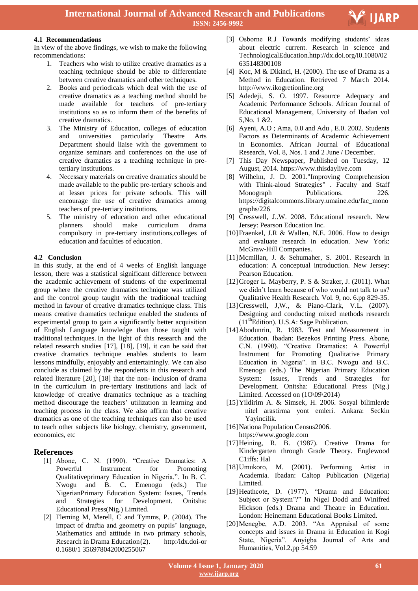## **4.1 Recommendations**

In view of the above findings, we wish to make the following recommendations:

- 1. Teachers who wish to utilize creative dramatics as a teaching technique should be able to differentiate between creative dramatics and other techniques.
- 2. Books and periodicals which deal with the use of creative dramatics as a teaching method should be made available for teachers of pre-tertiary institutions so as to inform them of the benefits of creative dramatics.
- 3. The Ministry of Education, colleges of education and universities particularly Theatre Arts Department should liaise with the government to organize seminars and conferences on the use of creative dramatics as a teaching technique in pretertiary institutions.
- 4. Necessary materials on creative dramatics should be made available to the public pre-tertiary schools and at lesser prices for private schools. This will encourage the use of creative dramatics among teachers of pre-tertiary institutions.
- 5. The ministry of education and other educational planners should make curriculum drama compulsory in pre-tertiary institutions,colleges of education and faculties of education.

## **4.2 Conclusion**

In this study, at the end of 4 weeks of English language lesson, there was a statistical significant difference between the academic achievement of students of the experimental group where the creative dramatics technique was utilized and the control group taught with the traditional teaching method in favour of creative dramatics technique class. This means creative dramatics technique enabled the students of experimental group to gain a significantly better acquisition of English Language knowledge than those taught with traditional techniques. In the light of this research and the related research studies [17], [18], [19], it can be said that creative dramatics technique enables students to learn lessons mindfully, enjoyably and entertainingly. We can also conclude as claimed by the respondents in this research and related literature [20], [18] that the non- inclusion of drama in the curriculum in pre-tertiary institutions and lack of knowledge of creative dramatics technique as a teaching method discourage the teachers' utilization in learning and teaching process in the class. We also affirm that creative dramatics as one of the teaching techniques can also be used to teach other subjects like biology, chemistry, government, economics, etc

# **References**

- [1] Abone, C. N. (1990). "Creative Dramatics: A Powerful Instrument for Promoting Qualitativeprimary Education in Nigeria.". In B. C. Nwogu and B. C. Emenogu (eds.) The NigerianPrimary Education System: Issues, Trends and Strategies for Development. Onitsha: Educational Press(Nig.) Limited.
- [2] Fleming M, Merell, C and Tymms, P. (2004). The impact of draftia and geometry on pupils' language, Mathematics and attitude in two primary schools, Research in Drama Education(2). http:/idx.doi-or 0.1680/1 356978042000255067

 [3] Osborne R.J Towards modifying students' ideas about electric current. Research in science and TechnologicalEducation.http://dx.doi.org/i0.1080/02 635148300108

**FIJARP** 

- [4] Koc, M & Dikinci, H. (2000). The use of Drama as a Method in Education. Retrieved 7 March 2014. http://www.ikogretionIine.org
- [5] Adedeji, S. O. 1997. Resource Adequacy and Academic Performance Schools. African Journal of Educational Management, University of Ibadan vol 5,No. 1 &2.
- [6] Ayeni, A.O ; Ama, 0.0 and Adu , E.0. 2002. Students Factors as Determinants of Academic Achievement in Economics. African Journal of Educational Research, Vol. 8, Nos. 1 and 2 June / December.
- [7] This Day Newspaper, Published on Tuesday, 12 August, 2014. https://www.thisdaylive.com
- [8] Wilhelm, J. D. 2001."Improving Comprehension with Think-aloud Strategies" . Faculty and Staff Monograph Publications. 226. https://digitalcommons.library.umaine.edu/fac\_mono graphs/226
- [9] Cresswell, J..W. 2008. Educational research. New Jersey: Pearson Education Inc.
- [10] Fraenkel, J.R & Wallen, N.E. 2006. How to design and evaluate research in education. New York: McGraw-Hill Companies.
- [11]Mcmillan, J. & Sehumaher, S. 2001. Research in education: A conceptual introduction. New Jersey: Pearson Education.
- [12]Groger L. Mayberry, P. S & Straker, J. (2011). What we didn't learn because of who would not talk to us? Qualitative Health Research. Vol. 9, no. 6.pp 829-35.
- [13]Cresswell, J,W., & Piano-Clark, V.L. (2007). Designing and conducting mixed methods research  $(11<sup>th</sup> Edition)$ . U.S.A: Sage Publication.
- [14]Abodunrin, R. 1983. Test and Measurement in Education. Ibadan: Bezekos Printing Press. Abone, C.N. (1990). "Creative Dramatics: A Powerful Instrument for Promoting Qualitative Primary Education in Nigeria". in B.C. Nwogu and B.C. Emenogu (eds.) The Nigerian Primary Education System: Issues, Trends and Strategies for Development. Onitsha: Educational Press (Nig.) Limited. Accessed on (1O\09\2014)
- [15]Yildirim A. & Simsek, H. 2006. Sosyal bilimlerde nitel arastirma yont emleri. Ankara: Seckin Yayincilik.
- [16] Nationa Population Census2006.

https://www.google.com

- [17]Heining, R. B. (1987). Creative Drama for Kindergarten through Grade Theory. Englewood C1iffs: Hal
- [18]Umukoro, M. (2001). Performing Artist in Academia. Ibadan: Caltop Publication (Nigeria) Limited.
- [19]Heathcote, D. (1977). "Drama and Education: Subject or System'?" In Nigel Dodd and Winifred Hickson (eds.) Drama and Theatre in Education. London: Heinemann Educational Books Limited.
- [20]Menegbe, A.D. 2003. "An Appraisal of some concepts and issues in Drama in Education in Kogi State, Nigeria". Anyigba Journal of Arts and Humanities, Vol.2,pp 54.59